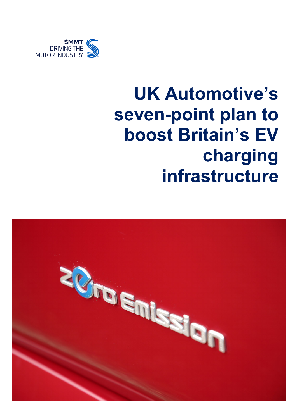

# **UK Automotive's seven-point plan to boost Britain's EV charging infrastructure**

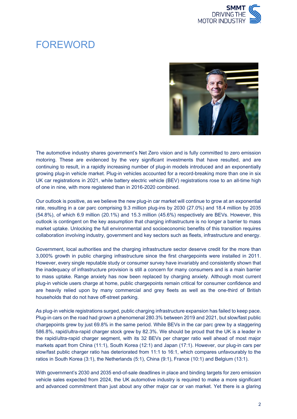

#### FOREWORD



The automotive industry shares government's Net Zero vision and is fully committed to zero emission motoring. These are evidenced by the very significant investments that have resulted, and are continuing to result, in a rapidly increasing number of plug-in models introduced and an exponentially growing plug-in vehicle market. Plug-in vehicles accounted for a record-breaking more than one in six UK car registrations in 2021, while battery electric vehicle (BEV) registrations rose to an all-time high of one in nine, with more registered than in 2016-2020 combined.

Our outlook is positive, as we believe the new plug-in car market will continue to grow at an exponential rate, resulting in a car parc comprising 9.3 million plug-ins by 2030 (27.0%) and 18.4 million by 2035 (54.8%), of which 6.9 million (20.1%) and 15.3 million (45.6%) respectively are BEVs. However, this outlook is contingent on the key assumption that charging infrastructure is no longer a barrier to mass market uptake. Unlocking the full environmental and socioeconomic benefits of this transition requires collaboration involving industry, government and key sectors such as fleets, infrastructure and energy.

Government, local authorities and the charging infrastructure sector deserve credit for the more than 3,000% growth in public charging infrastructure since the first chargepoints were installed in 2011. However, every single reputable study or consumer survey have invariably and consistently shown that the inadequacy of infrastructure provision is still a concern for many consumers and is a main barrier to mass uptake. Range anxiety has now been replaced by charging anxiety. Although most current plug-in vehicle users charge at home, public chargepoints remain critical for consumer confidence and are heavily relied upon by many commercial and grey fleets as well as the one-third of British households that do not have off-street parking.

As plug-in vehicle registrations surged, public charging infrastructure expansion has failed to keep pace. Plug-in cars on the road had grown a phenomenal 280.3% between 2019 and 2021, but slow/fast public chargepoints grew by just 69.8% in the same period. While BEVs in the car parc grew by a staggering 586.8%, rapid/ultra-rapid charger stock grew by 82.3%. We should be proud that the UK is a leader in the rapid/ultra-rapid charger segment, with its 32 BEVs per charger ratio well ahead of most major markets apart from China (11:1), South Korea (12:1) and Japan (17:1). However, our plug-in cars per slow/fast public charger ratio has deteriorated from 11:1 to 16:1, which compares unfavourably to the ratios in South Korea (3:1), the Netherlands (5:1), China (9:1), France (10:1) and Belgium (13:1).

With government's 2030 and 2035 end-of-sale deadlines in place and binding targets for zero emission vehicle sales expected from 2024, the UK automotive industry is required to make a more significant and advanced commitment than just about any other major car or van market. Yet there is a glaring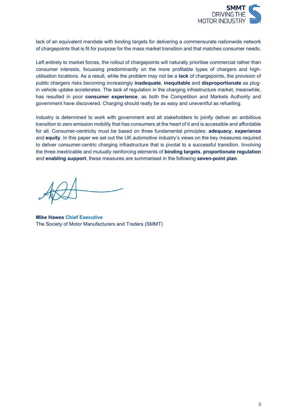

lack of an equivalent mandate with binding targets for delivering a commensurate nationwide network of chargepoints that is fit for purpose for the mass market transition and that matches consumer needs.

Left entirely to market forces, the rollout of chargepoints will naturally prioritise commercial rather than consumer interests, focussing predominantly on the more profitable types of chargers and highutilisation locations. As a result, while the problem may not be a **lack** of chargepoints, the provision of public chargers risks becoming increasingly **inadequate**, **inequitable** and **disproportionate** as plugin vehicle uptake accelerates. The lack of regulation in the charging infrastructure market, meanwhile, has resulted in poor **consumer experience**, as both the Competition and Markets Authority and government have discovered. Charging should really be as easy and uneventful as refuelling.

Industry is determined to work with government and all stakeholders to jointly deliver an ambitious transition to zero emission mobility that has consumers at the heart of it and is accessible and affordable for all. Consumer-centricity must be based on three fundamental principles: **adequacy**, **experience** and **equity**. In this paper we set out the UK automotive industry's views on the key measures required to deliver consumer-centric charging infrastructure that is pivotal to a successful transition. Involving the three inextricable and mutually reinforcing elements of **binding targets**, **proportionate regulation** and **enabling support**, these measures are summarised in the following **seven-point plan**.

**Mike Hawes Chief Executive**  The Society of Motor Manufacturers and Traders (SMMT)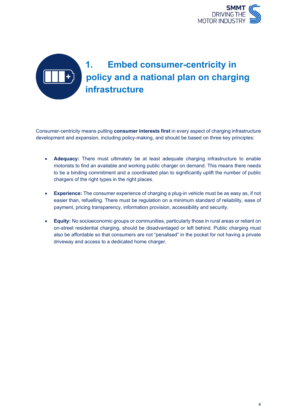

## **1. Embed consumer-centricity in policy and a national plan on charging infrastructure**

Consumer-centricity means putting **consumer interests first** in every aspect of charging infrastructure development and expansion, including policy-making, and should be based on three key principles:

- **Adequacy:** There must ultimately be at least adequate charging infrastructure to enable motorists to find an available and working public charger on demand. This means there needs to be a binding commitment and a coordinated plan to significantly uplift the number of public chargers of the right types in the right places.
- **Experience:** The consumer experience of charging a plug-in vehicle must be as easy as, if not easier than, refuelling. There must be regulation on a minimum standard of reliability, ease of payment, pricing transparency, information provision, accessibility and security.
- **Equity:** No socioeconomic groups or communities, particularly those in rural areas or reliant on on-street residential charging, should be disadvantaged or left behind. Public charging must also be affordable so that consumers are not "penalised" in the pocket for not having a private driveway and access to a dedicated home charger.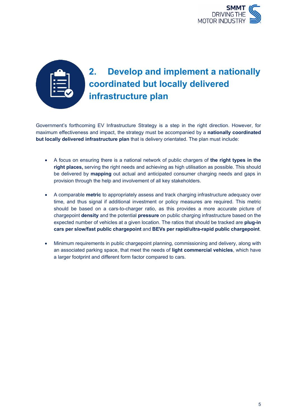

#### **2. Develop and implement a nationally coordinated but locally delivered infrastructure plan**

Government's forthcoming EV Infrastructure Strategy is a step in the right direction. However, for maximum effectiveness and impact, the strategy must be accompanied by a **nationally coordinated but locally delivered infrastructure plan** that is delivery orientated. The plan must include:

- A focus on ensuring there is a national network of public chargers of **the right types in the right places,** serving the right needs and achieving as high utilisation as possible. This should be delivered by **mapping** out actual and anticipated consumer charging needs and gaps in provision through the help and involvement of all key stakeholders.
- A comparable **metric** to appropriately assess and track charging infrastructure adequacy over time, and thus signal if additional investment or policy measures are required. This metric should be based on a cars-to-charger ratio, as this provides a more accurate picture of chargepoint **density** and the potential **pressure** on public charging infrastructure based on the expected number of vehicles at a given location. The ratios that should be tracked are **plug-in cars per slow/fast public chargepoint** and **BEVs per rapid/ultra-rapid public chargepoint**.
- Minimum requirements in public chargepoint planning, commissioning and delivery, along with an associated parking space, that meet the needs of **light commercial vehicles**, which have a larger footprint and different form factor compared to cars.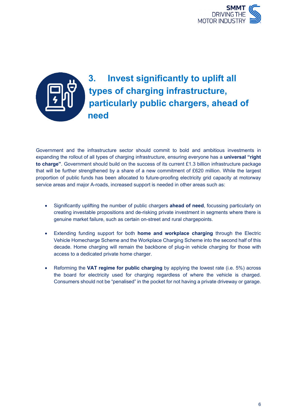

#### **3. Invest significantly to uplift all types of charging infrastructure, particularly public chargers, ahead of need**

Government and the infrastructure sector should commit to bold and ambitious investments in expanding the rollout of all types of charging infrastructure, ensuring everyone has a **universal "right to charge"**. Government should build on the success of its current £1.3 billion infrastructure package that will be further strengthened by a share of a new commitment of £620 million. While the largest proportion of public funds has been allocated to future-proofing electricity grid capacity at motorway service areas and major A-roads, increased support is needed in other areas such as:

- Significantly uplifting the number of public chargers **ahead of need**, focussing particularly on creating investable propositions and de-risking private investment in segments where there is genuine market failure, such as certain on-street and rural chargepoints.
- Extending funding support for both **home and workplace charging** through the Electric Vehicle Homecharge Scheme and the Workplace Charging Scheme into the second half of this decade. Home charging will remain the backbone of plug-in vehicle charging for those with access to a dedicated private home charger.
- Reforming the **VAT regime for public charging** by applying the lowest rate (i.e. 5%) across the board for electricity used for charging regardless of where the vehicle is charged. Consumers should not be "penalised" in the pocket for not having a private driveway or garage.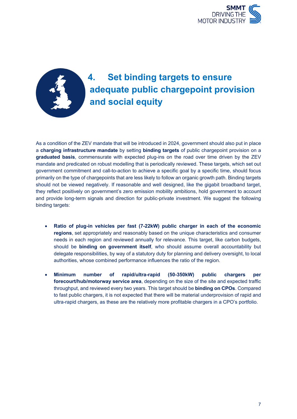

#### **4. Set binding targets to ensure adequate public chargepoint provision and social equity**

As a condition of the ZEV mandate that will be introduced in 2024, government should also put in place a **charging infrastructure mandate** by setting **binding targets** of public chargepoint provision on a **graduated basis**, commensurate with expected plug-ins on the road over time driven by the ZEV mandate and predicated on robust modelling that is periodically reviewed. These targets, which set out government commitment and call-to-action to achieve a specific goal by a specific time, should focus primarily on the type of chargepoints that are less likely to follow an organic growth path. Binding targets should not be viewed negatively. If reasonable and well designed, like the gigabit broadband target, they reflect positively on government's zero emission mobility ambitions, hold government to account and provide long-term signals and direction for public-private investment. We suggest the following binding targets:

- **Ratio of plug-in vehicles per fast (7-22kW) public charger in each of the economic regions**, set appropriately and reasonably based on the unique characteristics and consumer needs in each region and reviewed annually for relevance. This target, like carbon budgets, should be **binding on government itself**, who should assume overall accountability but delegate responsibilities, by way of a statutory duty for planning and delivery oversight, to local authorities, whose combined performance influences the ratio of the region.
- **Minimum number of rapid/ultra-rapid (50-350kW) public chargers per forecourt/hub/motorway service area**, depending on the size of the site and expected traffic throughput, and reviewed every two years. This target should be **binding on CPOs**. Compared to fast public chargers, it is not expected that there will be material underprovision of rapid and ultra-rapid chargers, as these are the relatively more profitable chargers in a CPO's portfolio.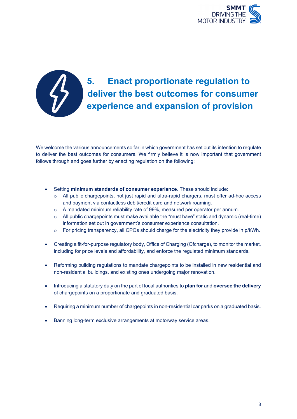



#### **5. Enact proportionate regulation to deliver the best outcomes for consumer experience and expansion of provision**

We welcome the various announcements so far in which government has set out its intention to regulate to deliver the best outcomes for consumers. We firmly believe it is now important that government follows through and goes further by enacting regulation on the following:

- Setting **minimum standards of consumer experience**. These should include:
	- o All public chargepoints, not just rapid and ultra-rapid chargers, must offer ad-hoc access and payment via contactless debit/credit card and network roaming.
	- o A mandated minimum reliability rate of 99%, measured per operator per annum.
	- $\circ$  All public chargepoints must make available the "must have" static and dynamic (real-time) information set out in government's consumer experience consultation.
	- o For pricing transparency, all CPOs should charge for the electricity they provide in p/kWh.
- Creating a fit-for-purpose regulatory body, Office of Charging (Ofcharge), to monitor the market, including for price levels and affordability, and enforce the regulated minimum standards.
- Reforming building regulations to mandate chargepoints to be installed in new residential and non-residential buildings, and existing ones undergoing major renovation.
- Introducing a statutory duty on the part of local authorities to **plan for** and **oversee the delivery** of chargepoints on a proportionate and graduated basis.
- Requiring a minimum number of chargepoints in non-residential car parks on a graduated basis.
- Banning long-term exclusive arrangements at motorway service areas.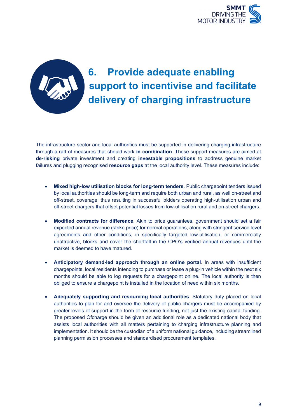



### **6. Provide adequate enabling support to incentivise and facilitate delivery of charging infrastructure**

The infrastructure sector and local authorities must be supported in delivering charging infrastructure through a raft of measures that should work **in combination**. These support measures are aimed at **de-risking** private investment and creating **investable propositions** to address genuine market failures and plugging recognised **resource gaps** at the local authority level. These measures include:

- **Mixed high-low utilisation blocks for long-term tenders**. Public chargepoint tenders issued by local authorities should be long-term and require both urban and rural, as well on-street and off-street, coverage, thus resulting in successful bidders operating high-utilisation urban and off-street chargers that offset potential losses from low-utilisation rural and on-street chargers.
- **Modified contracts for difference**. Akin to price guarantees, government should set a fair expected annual revenue (strike price) for normal operations, along with stringent service level agreements and other conditions, in specifically targeted low-utilisation, or commercially unattractive, blocks and cover the shortfall in the CPO's verified annual revenues until the market is deemed to have matured.
- **Anticipatory demand-led approach through an online portal**. In areas with insufficient chargepoints, local residents intending to purchase or lease a plug-in vehicle within the next six months should be able to log requests for a chargepoint online. The local authority is then obliged to ensure a chargepoint is installed in the location of need within six months.
- **Adequately supporting and resourcing local authorities**. Statutory duty placed on local authorities to plan for and oversee the delivery of public chargers must be accompanied by greater levels of support in the form of resource funding, not just the existing capital funding. The proposed Ofcharge should be given an additional role as a dedicated national body that assists local authorities with all matters pertaining to charging infrastructure planning and implementation. It should be the custodian of a uniform national guidance, including streamlined planning permission processes and standardised procurement templates.